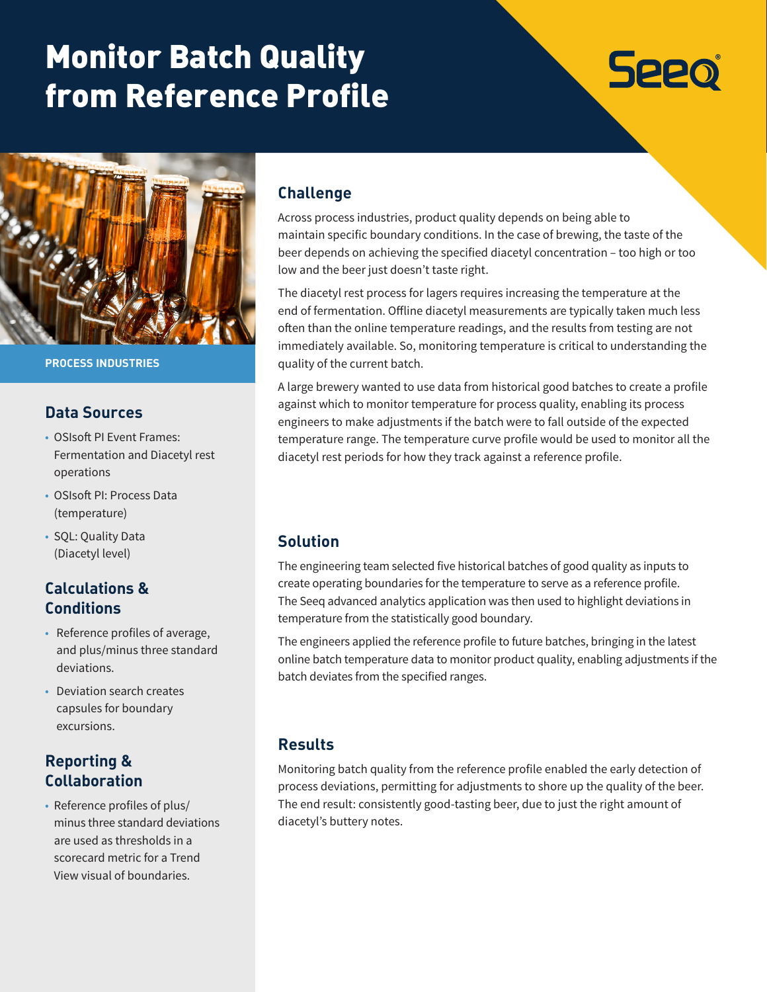# Monitor Batch Quality from Reference Profile

# **Seeo**



**PROCESS INDUSTRIES**

#### **Data Sources**

- OSIsoft PI Event Frames: Fermentation and Diacetyl rest operations
- OSIsoft PI: Process Data (temperature)
- SQL: Quality Data (Diacetyl level)

## **Calculations & Conditions**

- Reference profiles of average, and plus/minus three standard deviations.
- Deviation search creates capsules for boundary excursions.

### **Reporting & Collaboration**

• Reference profiles of plus/ minus three standard deviations are used as thresholds in a scorecard metric for a Trend View visual of boundaries.

#### **Challenge**

Across process industries, product quality depends on being able to maintain specific boundary conditions. In the case of brewing, the taste of the beer depends on achieving the specified diacetyl concentration – too high or too low and the beer just doesn't taste right.

The diacetyl rest process for lagers requires increasing the temperature at the end of fermentation. Offline diacetyl measurements are typically taken much less often than the online temperature readings, and the results from testing are not immediately available. So, monitoring temperature is critical to understanding the quality of the current batch.

A large brewery wanted to use data from historical good batches to create a profile against which to monitor temperature for process quality, enabling its process engineers to make adjustments if the batch were to fall outside of the expected temperature range. The temperature curve profile would be used to monitor all the diacetyl rest periods for how they track against a reference profile.

### **Solution**

The engineering team selected five historical batches of good quality as inputs to create operating boundaries for the temperature to serve as a reference profile. The Seeq advanced analytics application was then used to highlight deviations in temperature from the statistically good boundary.

The engineers applied the reference profile to future batches, bringing in the latest online batch temperature data to monitor product quality, enabling adjustments if the batch deviates from the specified ranges.

### **Results**

Monitoring batch quality from the reference profile enabled the early detection of process deviations, permitting for adjustments to shore up the quality of the beer. The end result: consistently good-tasting beer, due to just the right amount of diacetyl's buttery notes.